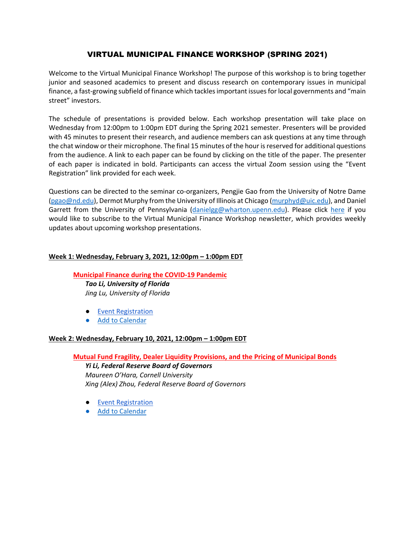# VIRTUAL MUNICIPAL FINANCE WORKSHOP (SPRING 2021)

Welcome to the Virtual Municipal Finance Workshop! The purpose of this workshop is to bring together junior and seasoned academics to present and discuss research on contemporary issues in municipal finance, a fast-growing subfield of finance which tackles important issues for local governments and "main street" investors.

The schedule of presentations is provided below. Each workshop presentation will take place on Wednesday from 12:00pm to 1:00pm EDT during the Spring 2021 semester. Presenters will be provided with 45 minutes to present their research, and audience members can ask questions at any time through the chat window or their microphone. The final 15 minutes of the hour is reserved for additional questions from the audience. A link to each paper can be found by clicking on the title of the paper. The presenter of each paper is indicated in bold. Participants can access the virtual Zoom session using the "Event Registration" link provided for each week.

Questions can be directed to the seminar co-organizers, Pengjie Gao from the University of Notre Dame [\(pgao@nd.edu\)](mailto:pgao@nd.edu), Dermot Murphy from the University of Illinois at Chicago [\(murphyd@uic.edu\)](mailto:murphyd@uic.edu), and Daniel Garrett from the University of Pennsylvania [\(danielgg@wharton.upenn.edu\)](mailto:danielgg@wharton.upenn.edu). Please click [here](https://tinyletter.com/virtual-muni-workshop) if you would like to subscribe to the Virtual Municipal Finance Workshop newsletter, which provides weekly updates about upcoming workshop presentations.

## **Week 1: Wednesday, February 3, 2021, 12:00pm – 1:00pm EDT**

## **[Municipal Finance during the COVID-19 Pandemic](https://mendoza.nd.edu/wp-content/uploads/2021/01/1-Muni-Finance_Li_Lu.pdf)** *Tao Li, University of Florida Jing Lu, University of Florida*

- [Event Registration](https://www.google.com/url?q=https://notredame.zoom.us/meeting/register/tJUvcOqrqDsiH9YWjjEn5zWWHc0FeQ7BX78o&sa=D&source=calendar&ust=1612123974913000&usg=AOvVaw3jJI8NqbDuSmq0TLBLgNkN)
- [Add to Calendar](https://calendar.google.com/event?action=TEMPLATE&tmeid=aHQyZWEybTdncWNjOWpvZTFmZW9pMDZpZTggbmQuZWR1X3Eyc3R0aWRmazBoOWo3NnNzbm01cG5oMGY0QGc&tmsrc=nd.edu_q2sttidfk0h9j76ssnm5pnh0f4%40group.calendar.google.com)

## **Week 2: Wednesday, February 10, 2021, 12:00pm – 1:00pm EDT**

## **[Mutual Fund Fragility, Dealer Liquidity Provisions, and the Pricing of Municipal Bonds](https://mendoza.nd.edu/wp-content/uploads/2021/01/2-mutual_fund_fragility.pdf)**

*Yi Li, Federal Reserve Board of Governors Maureen O'Hara, Cornell University Xing (Alex) Zhou, Federal Reserve Board of Governors*

- [Event Registration](https://www.google.com/url?q=https://notredame.zoom.us/meeting/register/tJcoce2pqTwtE9PdRc8gMffOOjzFDg6yKg2m&sa=D&source=calendar&ust=1612042348450000&usg=AOvVaw3CT10BVqV0f-9CZTBy6lol)
- [Add to Calendar](https://calendar.google.com/event?action=TEMPLATE&tmeid=YTFiczRzaHRqYWJzNWQ1c2Jja2M4bmJiNmcgbmQuZWR1X3Eyc3R0aWRmazBoOWo3NnNzbm01cG5oMGY0QGc&tmsrc=nd.edu_q2sttidfk0h9j76ssnm5pnh0f4%40group.calendar.google.com)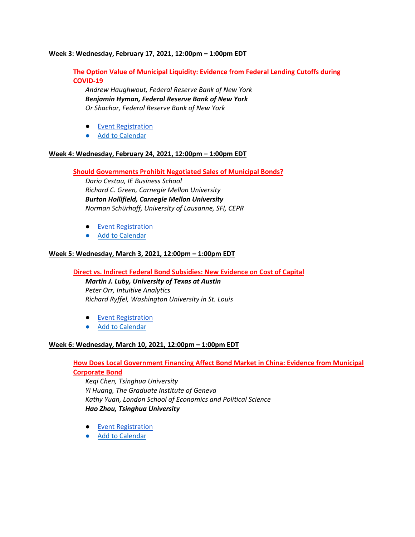### **Week 3: Wednesday, February 17, 2021, 12:00pm – 1:00pm EDT**

**The Option Value of Municipal Liquidity: Evidence from Federal Lending Cutoffs during COVID-19**

*Andrew Haughwout, Federal Reserve Bank of New York Benjamin Hyman, Federal Reserve Bank of New York Or Shachar, Federal Reserve Bank of New York*

- [Event Registration](https://www.google.com/url?q=https://notredame.zoom.us/meeting/register/tJ0sdOGprjMqHNHPe_uyPCY6LtEnMpPRgz2a&sa=D&source=calendar&ust=1612042669956000&usg=AOvVaw1mOaAfbOPSfuzbOAzaMknY)
- [Add to Calendar](https://calendar.google.com/event?action=TEMPLATE&tmeid=cHZlMjl1Nm1lNWthYjdoY3E5MW1saGdmZGcgbmQuZWR1X3Eyc3R0aWRmazBoOWo3NnNzbm01cG5oMGY0QGc&tmsrc=nd.edu_q2sttidfk0h9j76ssnm5pnh0f4%40group.calendar.google.com)

#### **Week 4: Wednesday, February 24, 2021, 12:00pm – 1:00pm EDT**

**[Should Governments Prohibit Negotiated Sales of Municipal Bonds?](https://mendoza.nd.edu/wp-content/uploads/2021/01/4-Muni_VMFC.pdf)**

*Dario Cestau, IE Business School Richard C. Green, Carnegie Mellon University Burton Hollifield, Carnegie Mellon University Norman Schürhoff, University of Lausanne, SFI, CEPR*

- [Event Registration](https://www.google.com/url?q=https://notredame.zoom.us/meeting/register/tJwuce6opj8iG9SbTCgvPYbulKOTX5T_v6A8&sa=D&source=calendar&ust=1612042669956000&usg=AOvVaw0N2k98-CeD4iRwbS4iyEi0)
- [Add to Calendar](https://calendar.google.com/event?action=TEMPLATE&tmeid=cW1odXVkbHZjaG9lbnNsMXFnNGkzbWVicTQgbmQuZWR1X3Eyc3R0aWRmazBoOWo3NnNzbm01cG5oMGY0QGc&tmsrc=nd.edu_q2sttidfk0h9j76ssnm5pnh0f4%40group.calendar.google.com)

#### **Week 5: Wednesday, March 3, 2021, 12:00pm – 1:00pm EDT**

**[Direct vs. Indirect Federal Bond Subsidies: New Evidence on Cost of Capital](https://mendoza.nd.edu/wp-content/uploads/2021/01/5-Direct-vs.-Indirect-Subsidies-October-2020.pdf)**

*Martin J. Luby, University of Texas at Austin Peter Orr, Intuitive Analytics Richard Ryffel, Washington University in St. Louis*

- [Event Registration](https://www.google.com/url?q=https://notredame.zoom.us/meeting/register/tJwrdemtrzIvGdzpM0vagbDWsTjU1HbbvWvs&sa=D&source=calendar&ust=1612042675642000&usg=AOvVaw3jhlbSchyuI2JffBdXQESy)
- [Add to Calendar](https://calendar.google.com/event?action=TEMPLATE&tmeid=Z2hramx1cnM3OXZibm1mMGpicnFkMW1zcGsgbmQuZWR1X3Eyc3R0aWRmazBoOWo3NnNzbm01cG5oMGY0QGc&tmsrc=nd.edu_q2sttidfk0h9j76ssnm5pnh0f4%40group.calendar.google.com)

#### **Week 6: Wednesday, March 10, 2021, 12:00pm – 1:00pm EDT**

## **[How Does Local Government Financing Affect Bond Market in China: Evidence from Municipal](https://mendoza.nd.edu/wp-content/uploads/2021/01/6-MCB-December-2020.pdf)  [Corporate Bond](https://mendoza.nd.edu/wp-content/uploads/2021/01/6-MCB-December-2020.pdf)**

*Keqi Chen, Tsinghua University Yi Huang, The Graduate Institute of Geneva Kathy Yuan, London School of Economics and Political Science Hao Zhou, Tsinghua University*

- [Event Registration](https://www.google.com/url?q=https://notredame.zoom.us/meeting/register/tJEqdu2gqDopGNQcXXzn61Aqc5kRiylOJ7Hl&sa=D&source=calendar&ust=1612042728261000&usg=AOvVaw2MIowzQ1L8RXALDtjA2Crt)
- [Add to Calendar](https://calendar.google.com/event?action=TEMPLATE&tmeid=MTE3NWM2OXJoYnM2NG80M3ByYzhraTNva2MgbmQuZWR1X3Eyc3R0aWRmazBoOWo3NnNzbm01cG5oMGY0QGc&tmsrc=nd.edu_q2sttidfk0h9j76ssnm5pnh0f4%40group.calendar.google.com)